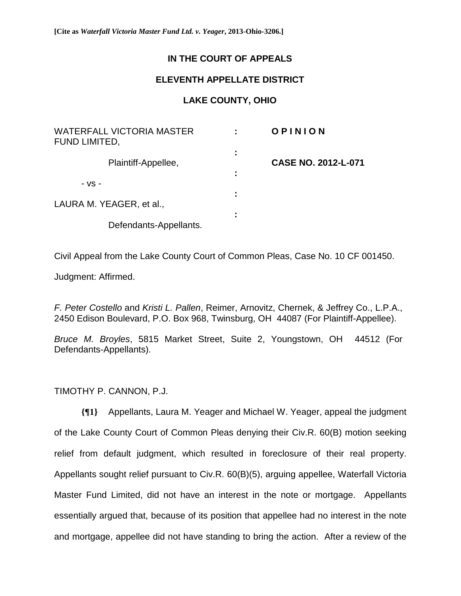## **IN THE COURT OF APPEALS**

## **ELEVENTH APPELLATE DISTRICT**

## **LAKE COUNTY, OHIO**

| <b>WATERFALL VICTORIA MASTER</b><br>FUND LIMITED, |        | OPINION                    |
|---------------------------------------------------|--------|----------------------------|
| Plaintiff-Appellee,                               | ٠<br>Ξ | <b>CASE NO. 2012-L-071</b> |
| $-VS -$                                           | ÷      |                            |
| LAURA M. YEAGER, et al.,                          | I      |                            |
| Defendants-Appellants.                            | ٠      |                            |

Civil Appeal from the Lake County Court of Common Pleas, Case No. 10 CF 001450.

Judgment: Affirmed.

*F. Peter Costello* and *Kristi L. Pallen*, Reimer, Arnovitz, Chernek, & Jeffrey Co., L.P.A., 2450 Edison Boulevard, P.O. Box 968, Twinsburg, OH 44087 (For Plaintiff-Appellee).

*Bruce M. Broyles*, 5815 Market Street, Suite 2, Youngstown, OH 44512 (For Defendants-Appellants).

TIMOTHY P. CANNON, P.J.

**{¶1}** Appellants, Laura M. Yeager and Michael W. Yeager, appeal the judgment of the Lake County Court of Common Pleas denying their Civ.R. 60(B) motion seeking relief from default judgment, which resulted in foreclosure of their real property. Appellants sought relief pursuant to Civ.R. 60(B)(5), arguing appellee, Waterfall Victoria Master Fund Limited, did not have an interest in the note or mortgage. Appellants essentially argued that, because of its position that appellee had no interest in the note and mortgage, appellee did not have standing to bring the action. After a review of the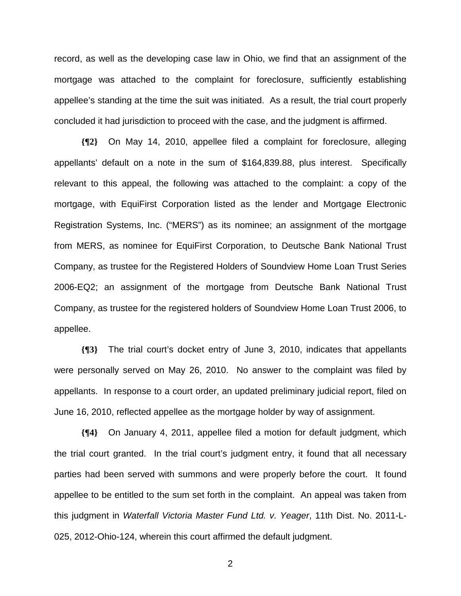record, as well as the developing case law in Ohio, we find that an assignment of the mortgage was attached to the complaint for foreclosure, sufficiently establishing appellee's standing at the time the suit was initiated. As a result, the trial court properly concluded it had jurisdiction to proceed with the case, and the judgment is affirmed.

**{¶2}** On May 14, 2010, appellee filed a complaint for foreclosure, alleging appellants' default on a note in the sum of \$164,839.88, plus interest. Specifically relevant to this appeal, the following was attached to the complaint: a copy of the mortgage, with EquiFirst Corporation listed as the lender and Mortgage Electronic Registration Systems, Inc. ("MERS") as its nominee; an assignment of the mortgage from MERS, as nominee for EquiFirst Corporation, to Deutsche Bank National Trust Company, as trustee for the Registered Holders of Soundview Home Loan Trust Series 2006-EQ2; an assignment of the mortgage from Deutsche Bank National Trust Company, as trustee for the registered holders of Soundview Home Loan Trust 2006, to appellee.

**{¶3}** The trial court's docket entry of June 3, 2010, indicates that appellants were personally served on May 26, 2010. No answer to the complaint was filed by appellants. In response to a court order, an updated preliminary judicial report, filed on June 16, 2010, reflected appellee as the mortgage holder by way of assignment.

**{¶4}** On January 4, 2011, appellee filed a motion for default judgment, which the trial court granted. In the trial court's judgment entry, it found that all necessary parties had been served with summons and were properly before the court. It found appellee to be entitled to the sum set forth in the complaint. An appeal was taken from this judgment in *Waterfall Victoria Master Fund Ltd. v. Yeager*, 11th Dist. No. 2011-L-025, 2012-Ohio-124, wherein this court affirmed the default judgment.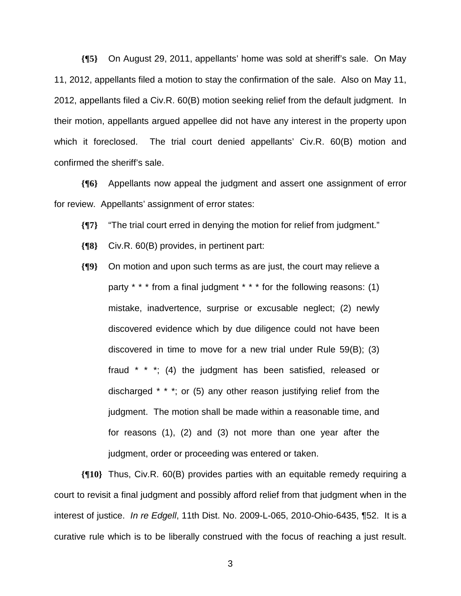**{¶5}** On August 29, 2011, appellants' home was sold at sheriff's sale. On May 11, 2012, appellants filed a motion to stay the confirmation of the sale. Also on May 11, 2012, appellants filed a Civ.R. 60(B) motion seeking relief from the default judgment. In their motion, appellants argued appellee did not have any interest in the property upon which it foreclosed. The trial court denied appellants' Civ.R. 60(B) motion and confirmed the sheriff's sale.

**{¶6}** Appellants now appeal the judgment and assert one assignment of error for review. Appellants' assignment of error states:

- **{¶7}** "The trial court erred in denying the motion for relief from judgment."
- **{¶8}** Civ.R. 60(B) provides, in pertinent part:
- **{¶9}** On motion and upon such terms as are just, the court may relieve a party \* \* \* from a final judgment \* \* \* for the following reasons: (1) mistake, inadvertence, surprise or excusable neglect; (2) newly discovered evidence which by due diligence could not have been discovered in time to move for a new trial under Rule 59(B); (3) fraud \* \* \*; (4) the judgment has been satisfied, released or discharged \* \* \*; or (5) any other reason justifying relief from the judgment. The motion shall be made within a reasonable time, and for reasons (1), (2) and (3) not more than one year after the judgment, order or proceeding was entered or taken.

**{¶10}** Thus, Civ.R. 60(B) provides parties with an equitable remedy requiring a court to revisit a final judgment and possibly afford relief from that judgment when in the interest of justice. *In re Edgell*, 11th Dist. No. 2009-L-065, 2010-Ohio-6435, ¶52. It is a curative rule which is to be liberally construed with the focus of reaching a just result.

 $\sim$  3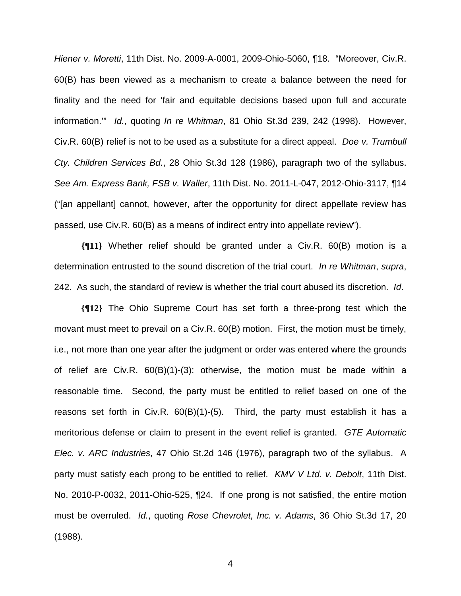*Hiener v. Moretti*, 11th Dist. No. 2009-A-0001, 2009-Ohio-5060, ¶18. "Moreover, Civ.R. 60(B) has been viewed as a mechanism to create a balance between the need for finality and the need for 'fair and equitable decisions based upon full and accurate information.'" *Id.*, quoting *In re Whitman*, 81 Ohio St.3d 239, 242 (1998). However, Civ.R. 60(B) relief is not to be used as a substitute for a direct appeal. *Doe v. Trumbull Cty. Children Services Bd.*, 28 Ohio St.3d 128 (1986), paragraph two of the syllabus. *See Am. Express Bank, FSB v. Waller*, 11th Dist. No. 2011-L-047, 2012-Ohio-3117, ¶14 ("[an appellant] cannot, however, after the opportunity for direct appellate review has passed, use Civ.R. 60(B) as a means of indirect entry into appellate review").

**{¶11}** Whether relief should be granted under a Civ.R. 60(B) motion is a determination entrusted to the sound discretion of the trial court. *In re Whitman*, *supra*, 242. As such, the standard of review is whether the trial court abused its discretion. *Id*.

**{¶12}** The Ohio Supreme Court has set forth a three-prong test which the movant must meet to prevail on a Civ.R. 60(B) motion. First, the motion must be timely, i.e., not more than one year after the judgment or order was entered where the grounds of relief are Civ.R. 60(B)(1)-(3); otherwise, the motion must be made within a reasonable time. Second, the party must be entitled to relief based on one of the reasons set forth in Civ.R. 60(B)(1)-(5). Third, the party must establish it has a meritorious defense or claim to present in the event relief is granted. *GTE Automatic Elec. v. ARC Industries*, 47 Ohio St.2d 146 (1976), paragraph two of the syllabus. A party must satisfy each prong to be entitled to relief. *KMV V Ltd. v. Debolt*, 11th Dist. No. 2010-P-0032, 2011-Ohio-525, ¶24. If one prong is not satisfied, the entire motion must be overruled. *Id.*, quoting *Rose Chevrolet, Inc. v. Adams*, 36 Ohio St.3d 17, 20 (1988).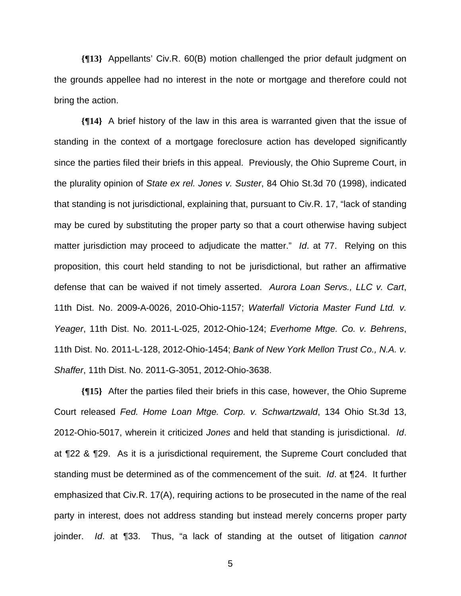**{¶13}** Appellants' Civ.R. 60(B) motion challenged the prior default judgment on the grounds appellee had no interest in the note or mortgage and therefore could not bring the action.

**{¶14}** A brief history of the law in this area is warranted given that the issue of standing in the context of a mortgage foreclosure action has developed significantly since the parties filed their briefs in this appeal. Previously, the Ohio Supreme Court, in the plurality opinion of *State ex rel. Jones v. Suster*, 84 Ohio St.3d 70 (1998), indicated that standing is not jurisdictional, explaining that, pursuant to Civ.R. 17, "lack of standing may be cured by substituting the proper party so that a court otherwise having subject matter jurisdiction may proceed to adjudicate the matter." *Id*. at 77. Relying on this proposition, this court held standing to not be jurisdictional, but rather an affirmative defense that can be waived if not timely asserted. *Aurora Loan Servs., LLC v. Cart*, 11th Dist. No. 2009-A-0026, 2010-Ohio-1157; *Waterfall Victoria Master Fund Ltd. v. Yeager*, 11th Dist. No. 2011-L-025, 2012-Ohio-124; *Everhome Mtge. Co. v. Behrens*, 11th Dist. No. 2011-L-128, 2012-Ohio-1454; *Bank of New York Mellon Trust Co., N.A. v. Shaffer*, 11th Dist. No. 2011-G-3051, 2012-Ohio-3638.

**{¶15}** After the parties filed their briefs in this case, however, the Ohio Supreme Court released *Fed. Home Loan Mtge. Corp. v. Schwartzwald*, 134 Ohio St.3d 13, 2012-Ohio-5017, wherein it criticized *Jones* and held that standing is jurisdictional. *Id*. at ¶22 & ¶29. As it is a jurisdictional requirement, the Supreme Court concluded that standing must be determined as of the commencement of the suit. *Id*. at ¶24. It further emphasized that Civ.R. 17(A), requiring actions to be prosecuted in the name of the real party in interest, does not address standing but instead merely concerns proper party joinder. *Id*. at ¶33. Thus, "a lack of standing at the outset of litigation *cannot*

 $\sim$  5  $\sim$  5  $\sim$  5  $\sim$  5  $\sim$  5  $\sim$  5  $\sim$  5  $\sim$  5  $\sim$  5  $\sim$  5  $\sim$  5  $\sim$  5  $\sim$  5  $\sim$  5  $\sim$  5  $\sim$  5  $\sim$  5  $\sim$  5  $\sim$  5  $\sim$  5  $\sim$  5  $\sim$  5  $\sim$  5  $\sim$  5  $\sim$  5  $\sim$  5  $\sim$  5  $\sim$  5  $\sim$  5  $\sim$  5  $\sim$  5  $\sim$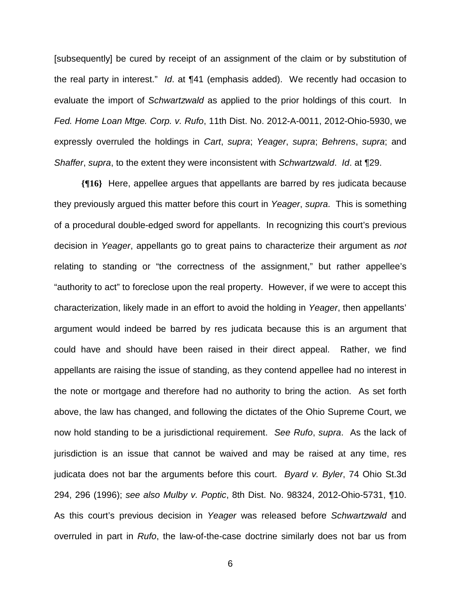[subsequently] be cured by receipt of an assignment of the claim or by substitution of the real party in interest." *Id*. at ¶41 (emphasis added). We recently had occasion to evaluate the import of *Schwartzwald* as applied to the prior holdings of this court. In *Fed. Home Loan Mtge. Corp. v. Rufo*, 11th Dist. No. 2012-A-0011, 2012-Ohio-5930, we expressly overruled the holdings in *Cart*, *supra*; *Yeager*, *supra*; *Behrens*, *supra*; and *Shaffer*, *supra*, to the extent they were inconsistent with *Schwartzwald*. *Id*. at ¶29.

**{¶16}** Here, appellee argues that appellants are barred by res judicata because they previously argued this matter before this court in *Yeager*, *supra*. This is something of a procedural double-edged sword for appellants. In recognizing this court's previous decision in *Yeager*, appellants go to great pains to characterize their argument as *not* relating to standing or "the correctness of the assignment," but rather appellee's "authority to act" to foreclose upon the real property. However, if we were to accept this characterization, likely made in an effort to avoid the holding in *Yeager*, then appellants' argument would indeed be barred by res judicata because this is an argument that could have and should have been raised in their direct appeal. Rather, we find appellants are raising the issue of standing, as they contend appellee had no interest in the note or mortgage and therefore had no authority to bring the action. As set forth above, the law has changed, and following the dictates of the Ohio Supreme Court, we now hold standing to be a jurisdictional requirement. *See Rufo*, *supra*. As the lack of jurisdiction is an issue that cannot be waived and may be raised at any time, res judicata does not bar the arguments before this court. *Byard v. Byler*, 74 Ohio St.3d 294, 296 (1996); *see also Mulby v. Poptic*, 8th Dist. No. 98324, 2012-Ohio-5731, ¶10. As this court's previous decision in *Yeager* was released before *Schwartzwald* and overruled in part in *Rufo*, the law-of-the-case doctrine similarly does not bar us from

 $\sim$  600  $\sim$  600  $\sim$  600  $\sim$  600  $\sim$  600  $\sim$  600  $\sim$  600  $\sim$  600  $\sim$  600  $\sim$  600  $\sim$  600  $\sim$  600  $\sim$  600  $\sim$  600  $\sim$  600  $\sim$  600  $\sim$  600  $\sim$  600  $\sim$  600  $\sim$  600  $\sim$  600  $\sim$  600  $\sim$  600  $\sim$  600  $\sim$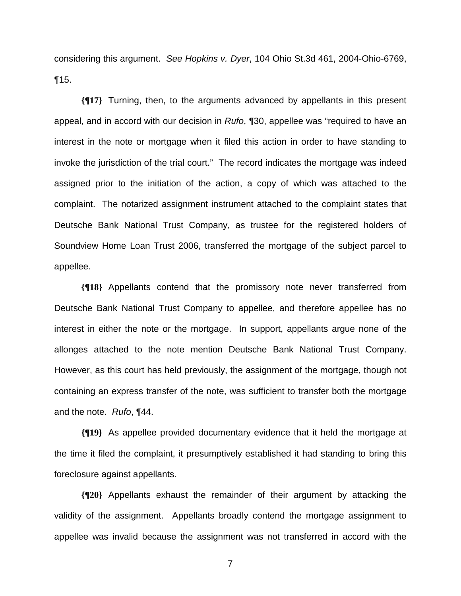considering this argument. *See Hopkins v. Dyer*, 104 Ohio St.3d 461, 2004-Ohio-6769, ¶15.

**{¶17}** Turning, then, to the arguments advanced by appellants in this present appeal, and in accord with our decision in *Rufo*, ¶30, appellee was "required to have an interest in the note or mortgage when it filed this action in order to have standing to invoke the jurisdiction of the trial court." The record indicates the mortgage was indeed assigned prior to the initiation of the action, a copy of which was attached to the complaint. The notarized assignment instrument attached to the complaint states that Deutsche Bank National Trust Company, as trustee for the registered holders of Soundview Home Loan Trust 2006, transferred the mortgage of the subject parcel to appellee.

**{¶18}** Appellants contend that the promissory note never transferred from Deutsche Bank National Trust Company to appellee, and therefore appellee has no interest in either the note or the mortgage. In support, appellants argue none of the allonges attached to the note mention Deutsche Bank National Trust Company. However, as this court has held previously, the assignment of the mortgage, though not containing an express transfer of the note, was sufficient to transfer both the mortgage and the note. *Rufo*, ¶44.

**{¶19}** As appellee provided documentary evidence that it held the mortgage at the time it filed the complaint, it presumptively established it had standing to bring this foreclosure against appellants.

**{¶20}** Appellants exhaust the remainder of their argument by attacking the validity of the assignment. Appellants broadly contend the mortgage assignment to appellee was invalid because the assignment was not transferred in accord with the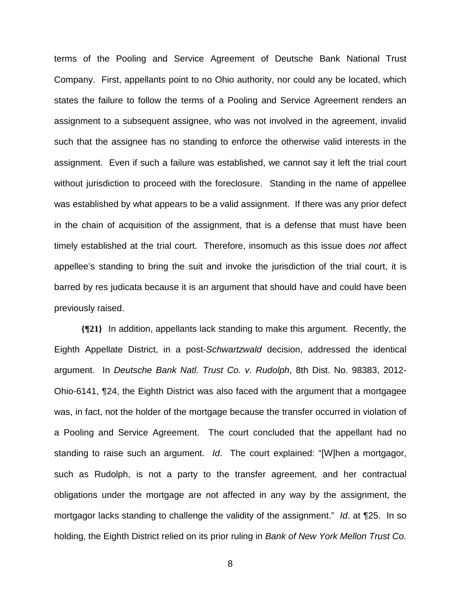terms of the Pooling and Service Agreement of Deutsche Bank National Trust Company. First, appellants point to no Ohio authority, nor could any be located, which states the failure to follow the terms of a Pooling and Service Agreement renders an assignment to a subsequent assignee, who was not involved in the agreement, invalid such that the assignee has no standing to enforce the otherwise valid interests in the assignment. Even if such a failure was established, we cannot say it left the trial court without jurisdiction to proceed with the foreclosure. Standing in the name of appellee was established by what appears to be a valid assignment. If there was any prior defect in the chain of acquisition of the assignment, that is a defense that must have been timely established at the trial court. Therefore, insomuch as this issue does *not* affect appellee's standing to bring the suit and invoke the jurisdiction of the trial court, it is barred by res judicata because it is an argument that should have and could have been previously raised.

**{¶21}** In addition, appellants lack standing to make this argument. Recently, the Eighth Appellate District, in a post-*Schwartzwald* decision, addressed the identical argument. In *Deutsche Bank Natl. Trust Co. v. Rudolph*, 8th Dist. No. 98383, 2012- Ohio-6141, ¶24, the Eighth District was also faced with the argument that a mortgagee was, in fact, not the holder of the mortgage because the transfer occurred in violation of a Pooling and Service Agreement. The court concluded that the appellant had no standing to raise such an argument. *Id*. The court explained: "[W]hen a mortgagor, such as Rudolph, is not a party to the transfer agreement, and her contractual obligations under the mortgage are not affected in any way by the assignment, the mortgagor lacks standing to challenge the validity of the assignment." *Id*. at ¶25. In so holding, the Eighth District relied on its prior ruling in *Bank of New York Mellon Trust Co.* 

en andere de la provincia de la provincia de la provincia de la provincia de la provincia de la provincia del<br>En 1888, en 1888, en 1888, en 1888, en 1888, en 1888, en 1888, en 1888, en 1888, en 1888, en 1888, en 1888, en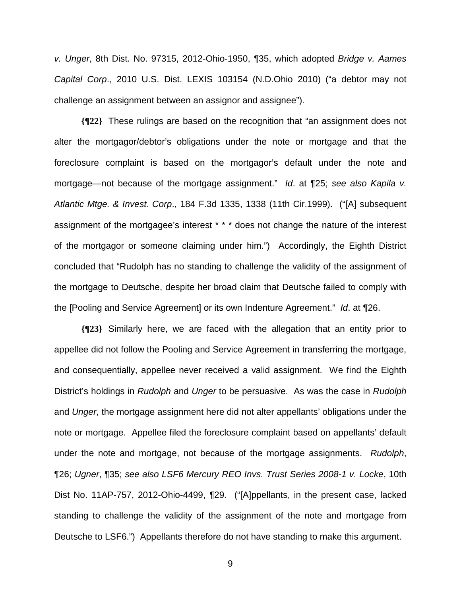*v. Unger*, 8th Dist. No. 97315, 2012-Ohio-1950, ¶35, which adopted *Bridge v. Aames Capital Corp*., 2010 U.S. Dist. LEXIS 103154 (N.D.Ohio 2010) ("a debtor may not challenge an assignment between an assignor and assignee").

**{¶22}** These rulings are based on the recognition that "an assignment does not alter the mortgagor/debtor's obligations under the note or mortgage and that the foreclosure complaint is based on the mortgagor's default under the note and mortgage—not because of the mortgage assignment." *Id*. at ¶25; *see also Kapila v. Atlantic Mtge. & Invest. Corp*., 184 F.3d 1335, 1338 (11th Cir.1999). ("[A] subsequent assignment of the mortgagee's interest \* \* \* does not change the nature of the interest of the mortgagor or someone claiming under him.") Accordingly, the Eighth District concluded that "Rudolph has no standing to challenge the validity of the assignment of the mortgage to Deutsche, despite her broad claim that Deutsche failed to comply with the [Pooling and Service Agreement] or its own Indenture Agreement." *Id*. at ¶26.

**{¶23}** Similarly here, we are faced with the allegation that an entity prior to appellee did not follow the Pooling and Service Agreement in transferring the mortgage, and consequentially, appellee never received a valid assignment. We find the Eighth District's holdings in *Rudolph* and *Unger* to be persuasive. As was the case in *Rudolph* and *Unger*, the mortgage assignment here did not alter appellants' obligations under the note or mortgage. Appellee filed the foreclosure complaint based on appellants' default under the note and mortgage, not because of the mortgage assignments. *Rudolph*, ¶26; *Ugner*, ¶35; *see also LSF6 Mercury REO Invs. Trust Series 2008-1 v. Locke*, 10th Dist No. 11AP-757, 2012-Ohio-4499, ¶29. ("[A]ppellants, in the present case, lacked standing to challenge the validity of the assignment of the note and mortgage from Deutsche to LSF6.") Appellants therefore do not have standing to make this argument.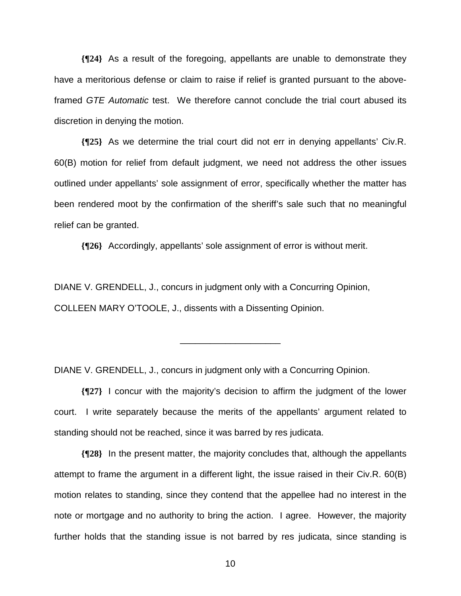**{¶24}** As a result of the foregoing, appellants are unable to demonstrate they have a meritorious defense or claim to raise if relief is granted pursuant to the aboveframed *GTE Automatic* test. We therefore cannot conclude the trial court abused its discretion in denying the motion.

**{¶25}** As we determine the trial court did not err in denying appellants' Civ.R. 60(B) motion for relief from default judgment, we need not address the other issues outlined under appellants' sole assignment of error, specifically whether the matter has been rendered moot by the confirmation of the sheriff's sale such that no meaningful relief can be granted.

**{¶26}** Accordingly, appellants' sole assignment of error is without merit.

DIANE V. GRENDELL, J., concurs in judgment only with a Concurring Opinion, COLLEEN MARY O'TOOLE, J., dissents with a Dissenting Opinion.

DIANE V. GRENDELL, J., concurs in judgment only with a Concurring Opinion.

**{¶27}** I concur with the majority's decision to affirm the judgment of the lower court. I write separately because the merits of the appellants' argument related to standing should not be reached, since it was barred by res judicata.

\_\_\_\_\_\_\_\_\_\_\_\_\_\_\_\_\_\_\_\_

**{¶28}** In the present matter, the majority concludes that, although the appellants attempt to frame the argument in a different light, the issue raised in their Civ.R. 60(B) motion relates to standing, since they contend that the appellee had no interest in the note or mortgage and no authority to bring the action. I agree. However, the majority further holds that the standing issue is not barred by res judicata, since standing is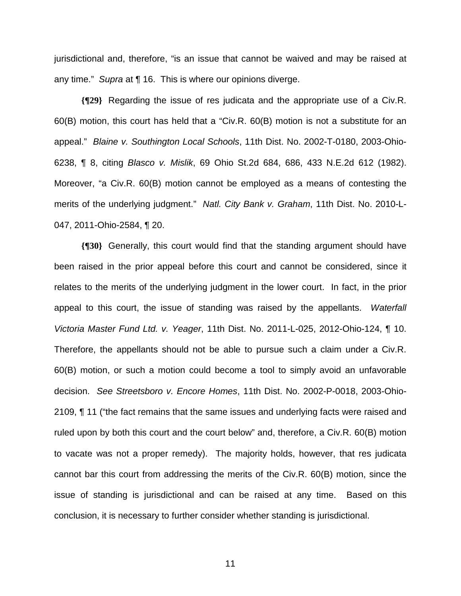jurisdictional and, therefore, "is an issue that cannot be waived and may be raised at any time." *Supra* at ¶ 16. This is where our opinions diverge.

**{¶29}** Regarding the issue of res judicata and the appropriate use of a Civ.R. 60(B) motion, this court has held that a "Civ.R. 60(B) motion is not a substitute for an appeal." *Blaine v. Southington Local Schools*, 11th Dist. No. 2002-T-0180, 2003-Ohio-6238, ¶ 8, citing *Blasco v. Mislik*, 69 Ohio St.2d 684, 686, 433 N.E.2d 612 (1982). Moreover, "a Civ.R. 60(B) motion cannot be employed as a means of contesting the merits of the underlying judgment." *Natl. City Bank v. Graham*, 11th Dist. No. 2010-L-047, 2011-Ohio-2584, ¶ 20.

**{¶30}** Generally, this court would find that the standing argument should have been raised in the prior appeal before this court and cannot be considered, since it relates to the merits of the underlying judgment in the lower court. In fact, in the prior appeal to this court, the issue of standing was raised by the appellants. *Waterfall Victoria Master Fund Ltd. v. Yeager*, 11th Dist. No. 2011-L-025, 2012-Ohio-124, ¶ 10. Therefore, the appellants should not be able to pursue such a claim under a Civ.R. 60(B) motion, or such a motion could become a tool to simply avoid an unfavorable decision. *See Streetsboro v. Encore Homes*, 11th Dist. No. 2002-P-0018, 2003-Ohio-2109, ¶ 11 ("the fact remains that the same issues and underlying facts were raised and ruled upon by both this court and the court below" and, therefore, a Civ.R. 60(B) motion to vacate was not a proper remedy). The majority holds, however, that res judicata cannot bar this court from addressing the merits of the Civ.R. 60(B) motion, since the issue of standing is jurisdictional and can be raised at any time. Based on this conclusion, it is necessary to further consider whether standing is jurisdictional.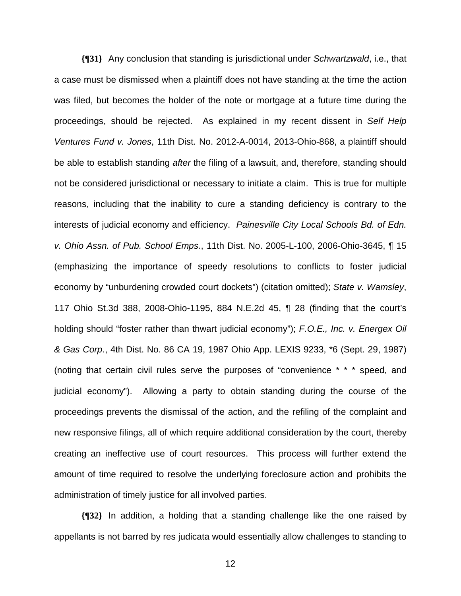**{¶31}** Any conclusion that standing is jurisdictional under *Schwartzwald*, i.e., that a case must be dismissed when a plaintiff does not have standing at the time the action was filed, but becomes the holder of the note or mortgage at a future time during the proceedings, should be rejected. As explained in my recent dissent in *Self Help Ventures Fund v. Jones*, 11th Dist. No. 2012-A-0014, 2013-Ohio-868, a plaintiff should be able to establish standing *after* the filing of a lawsuit, and, therefore, standing should not be considered jurisdictional or necessary to initiate a claim. This is true for multiple reasons, including that the inability to cure a standing deficiency is contrary to the interests of judicial economy and efficiency. *Painesville City Local Schools Bd. of Edn. v. Ohio Assn. of Pub. School Emps.*, 11th Dist. No. 2005-L-100, 2006-Ohio-3645, ¶ 15 (emphasizing the importance of speedy resolutions to conflicts to foster judicial economy by "unburdening crowded court dockets") (citation omitted); *State v. Wamsley*, 117 Ohio St.3d 388, 2008-Ohio-1195, 884 N.E.2d 45, ¶ 28 (finding that the court's holding should "foster rather than thwart judicial economy"); *F.O.E., Inc. v. Energex Oil & Gas Corp*., 4th Dist. No. 86 CA 19, 1987 Ohio App. LEXIS 9233, \*6 (Sept. 29, 1987) (noting that certain civil rules serve the purposes of "convenience \* \* \* speed, and judicial economy"). Allowing a party to obtain standing during the course of the proceedings prevents the dismissal of the action, and the refiling of the complaint and new responsive filings, all of which require additional consideration by the court, thereby creating an ineffective use of court resources. This process will further extend the amount of time required to resolve the underlying foreclosure action and prohibits the administration of timely justice for all involved parties.

**{¶32}** In addition, a holding that a standing challenge like the one raised by appellants is not barred by res judicata would essentially allow challenges to standing to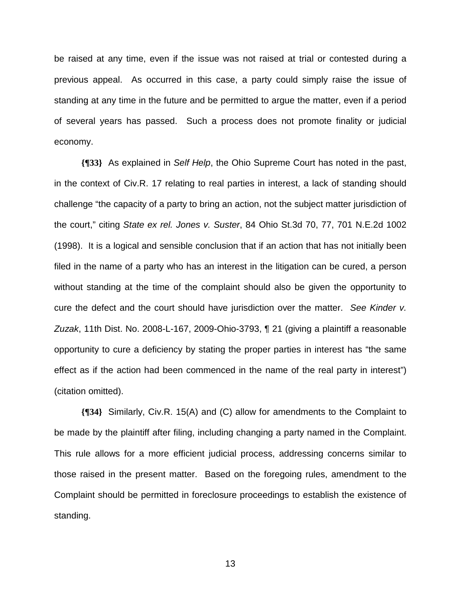be raised at any time, even if the issue was not raised at trial or contested during a previous appeal. As occurred in this case, a party could simply raise the issue of standing at any time in the future and be permitted to argue the matter, even if a period of several years has passed. Such a process does not promote finality or judicial economy.

**{¶33}** As explained in *Self Help*, the Ohio Supreme Court has noted in the past, in the context of Civ.R. 17 relating to real parties in interest, a lack of standing should challenge "the capacity of a party to bring an action, not the subject matter jurisdiction of the court," citing *State ex rel. Jones v. Suster*, 84 Ohio St.3d 70, 77, 701 N.E.2d 1002 (1998). It is a logical and sensible conclusion that if an action that has not initially been filed in the name of a party who has an interest in the litigation can be cured, a person without standing at the time of the complaint should also be given the opportunity to cure the defect and the court should have jurisdiction over the matter. *See Kinder v. Zuzak*, 11th Dist. No. 2008-L-167, 2009-Ohio-3793, ¶ 21 (giving a plaintiff a reasonable opportunity to cure a deficiency by stating the proper parties in interest has "the same effect as if the action had been commenced in the name of the real party in interest") (citation omitted).

**{¶34}** Similarly, Civ.R. 15(A) and (C) allow for amendments to the Complaint to be made by the plaintiff after filing, including changing a party named in the Complaint. This rule allows for a more efficient judicial process, addressing concerns similar to those raised in the present matter. Based on the foregoing rules, amendment to the Complaint should be permitted in foreclosure proceedings to establish the existence of standing.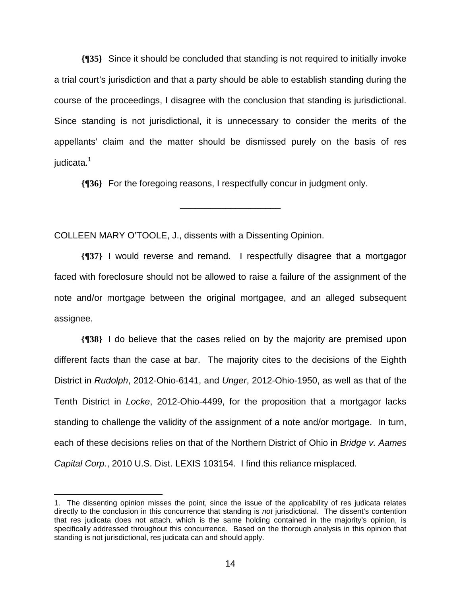**{¶35}** Since it should be concluded that standing is not required to initially invoke a trial court's jurisdiction and that a party should be able to establish standing during the course of the proceedings, I disagree with the conclusion that standing is jurisdictional. Since standing is not jurisdictional, it is unnecessary to consider the merits of the appellants' claim and the matter should be dismissed purely on the basis of res iudicata.<sup>1</sup>

**{¶36}** For the foregoing reasons, I respectfully concur in judgment only.

\_\_\_\_\_\_\_\_\_\_\_\_\_\_\_\_\_\_\_\_

COLLEEN MARY O'TOOLE, J., dissents with a Dissenting Opinion.

**{¶37}** I would reverse and remand. I respectfully disagree that a mortgagor faced with foreclosure should not be allowed to raise a failure of the assignment of the note and/or mortgage between the original mortgagee, and an alleged subsequent assignee.

**{¶38}** I do believe that the cases relied on by the majority are premised upon different facts than the case at bar. The majority cites to the decisions of the Eighth District in *Rudolph*, 2012-Ohio-6141, and *Unger*, 2012-Ohio-1950, as well as that of the Tenth District in *Locke*, 2012-Ohio-4499, for the proposition that a mortgagor lacks standing to challenge the validity of the assignment of a note and/or mortgage. In turn, each of these decisions relies on that of the Northern District of Ohio in *Bridge v. Aames Capital Corp.*, 2010 U.S. Dist. LEXIS 103154. I find this reliance misplaced.

<sup>1.</sup> The dissenting opinion misses the point, since the issue of the applicability of res judicata relates directly to the conclusion in this concurrence that standing is *not* jurisdictional. The dissent's contention that res judicata does not attach, which is the same holding contained in the majority's opinion, is specifically addressed throughout this concurrence. Based on the thorough analysis in this opinion that standing is not jurisdictional, res judicata can and should apply.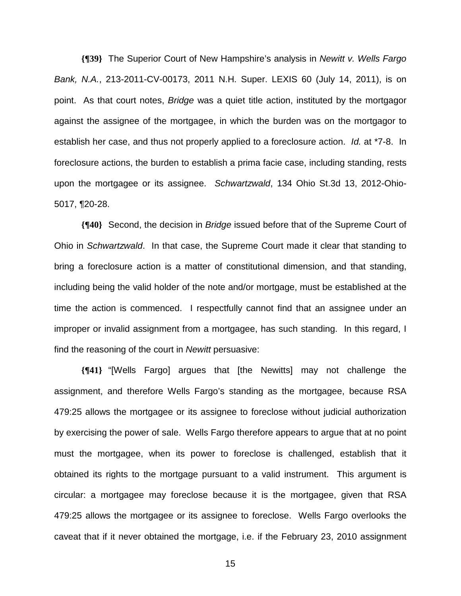**{¶39}** The Superior Court of New Hampshire's analysis in *Newitt v. Wells Fargo Bank, N.A.*, 213-2011-CV-00173, 2011 N.H. Super. LEXIS 60 (July 14, 2011), is on point. As that court notes, *Bridge* was a quiet title action, instituted by the mortgagor against the assignee of the mortgagee, in which the burden was on the mortgagor to establish her case, and thus not properly applied to a foreclosure action. *Id.* at \*7-8. In foreclosure actions, the burden to establish a prima facie case, including standing, rests upon the mortgagee or its assignee. *Schwartzwald*, 134 Ohio St.3d 13, 2012-Ohio-5017, ¶20-28.

**{¶40}** Second, the decision in *Bridge* issued before that of the Supreme Court of Ohio in *Schwartzwald*. In that case, the Supreme Court made it clear that standing to bring a foreclosure action is a matter of constitutional dimension, and that standing, including being the valid holder of the note and/or mortgage, must be established at the time the action is commenced. I respectfully cannot find that an assignee under an improper or invalid assignment from a mortgagee, has such standing. In this regard, I find the reasoning of the court in *Newitt* persuasive:

**{¶41}** "[Wells Fargo] argues that [the Newitts] may not challenge the assignment, and therefore Wells Fargo's standing as the mortgagee, because RSA 479:25 allows the mortgagee or its assignee to foreclose without judicial authorization by exercising the power of sale. Wells Fargo therefore appears to argue that at no point must the mortgagee, when its power to foreclose is challenged, establish that it obtained its rights to the mortgage pursuant to a valid instrument. This argument is circular: a mortgagee may foreclose because it is the mortgagee, given that RSA 479:25 allows the mortgagee or its assignee to foreclose. Wells Fargo overlooks the caveat that if it never obtained the mortgage, i.e. if the February 23, 2010 assignment

<u>15 and 2011 and 2012 and 2013 and 2014 and 2014 and 2014 and 2014 and 2014 and 2014 and 2014 and 2014 and 201</u>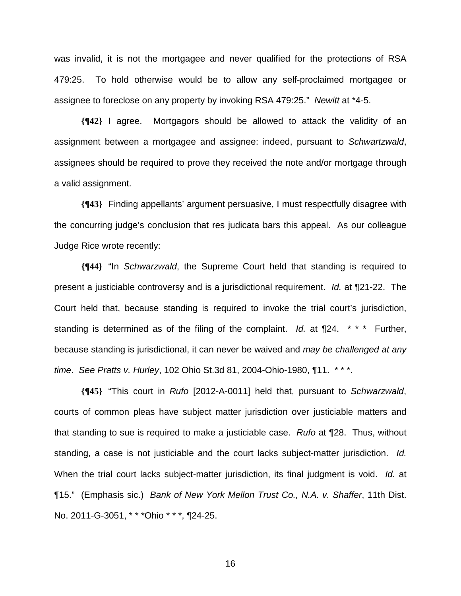was invalid, it is not the mortgagee and never qualified for the protections of RSA 479:25. To hold otherwise would be to allow any self-proclaimed mortgagee or assignee to foreclose on any property by invoking RSA 479:25." *Newitt* at \*4-5.

**{¶42}** I agree. Mortgagors should be allowed to attack the validity of an assignment between a mortgagee and assignee: indeed, pursuant to *Schwartzwald*, assignees should be required to prove they received the note and/or mortgage through a valid assignment.

**{¶43}** Finding appellants' argument persuasive, I must respectfully disagree with the concurring judge's conclusion that res judicata bars this appeal. As our colleague Judge Rice wrote recently:

**{¶44}** "In *Schwarzwald*, the Supreme Court held that standing is required to present a justiciable controversy and is a jurisdictional requirement. *Id.* at ¶21-22. The Court held that, because standing is required to invoke the trial court's jurisdiction, standing is determined as of the filing of the complaint. *Id.* at ¶24. \* \* \* Further, because standing is jurisdictional, it can never be waived and *may be challenged at any time*. *See Pratts v. Hurley*, 102 Ohio St.3d 81, 2004-Ohio-1980, ¶11. \* \* \*.

**{¶45}** "This court in *Rufo* [2012-A-0011] held that, pursuant to *Schwarzwald*, courts of common pleas have subject matter jurisdiction over justiciable matters and that standing to sue is required to make a justiciable case. *Rufo* at ¶28. Thus, without standing, a case is not justiciable and the court lacks subject-matter jurisdiction. *Id.*  When the trial court lacks subject-matter jurisdiction, its final judgment is void. *Id.* at ¶15." (Emphasis sic.) *Bank of New York Mellon Trust Co., N.A. v. Shaffer*, 11th Dist. No. 2011-G-3051, \* \* \*Ohio \* \* \*, ¶24-25.